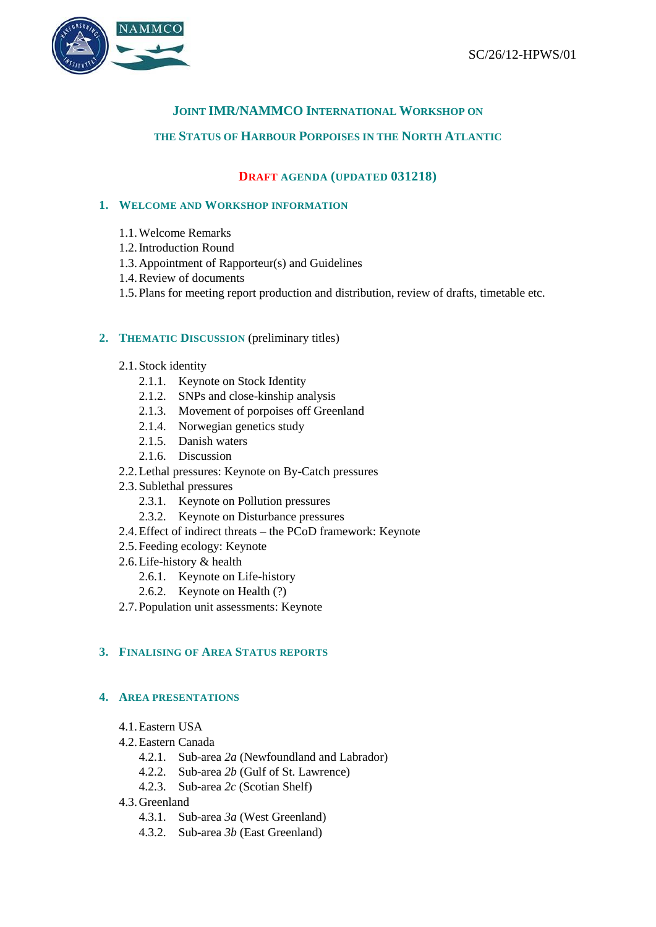

# **JOINT IMR/NAMMCO INTERNATIONAL WORKSHOP ON**

### **THE STATUS OF HARBOUR PORPOISES IN THE NORTH ATLANTIC**

## **DRAFT AGENDA (UPDATED 031218)**

### **1. WELCOME AND WORKSHOP INFORMATION**

- 1.1.Welcome Remarks
- 1.2.Introduction Round
- 1.3.Appointment of Rapporteur(s) and Guidelines
- 1.4.Review of documents
- 1.5.Plans for meeting report production and distribution, review of drafts, timetable etc.

#### **2. THEMATIC DISCUSSION** (preliminary titles)

- 2.1.Stock identity
	- 2.1.1. Keynote on Stock Identity
	- 2.1.2. SNPs and close-kinship analysis
	- 2.1.3. Movement of porpoises off Greenland
	- 2.1.4. Norwegian genetics study
	- 2.1.5. Danish waters
	- 2.1.6. Discussion
- 2.2.Lethal pressures: Keynote on By-Catch pressures
- 2.3.Sublethal pressures
	- 2.3.1. Keynote on Pollution pressures
	- 2.3.2. Keynote on Disturbance pressures
- 2.4.Effect of indirect threats the PCoD framework: Keynote
- 2.5.Feeding ecology: Keynote
- 2.6.Life-history & health
	- 2.6.1. Keynote on Life-history
	- 2.6.2. Keynote on Health (?)
- 2.7.Population unit assessments: Keynote

#### **3. FINALISING OF AREA STATUS REPORTS**

#### **4. AREA PRESENTATIONS**

- 4.1.Eastern USA
- 4.2.Eastern Canada
	- 4.2.1. Sub-area *2a* (Newfoundland and Labrador)
	- 4.2.2. Sub-area *2b* (Gulf of St. Lawrence)
	- 4.2.3. Sub-area *2c* (Scotian Shelf)
- 4.3.Greenland
	- 4.3.1. Sub-area *3a* (West Greenland)
	- 4.3.2. Sub-area *3b* (East Greenland)